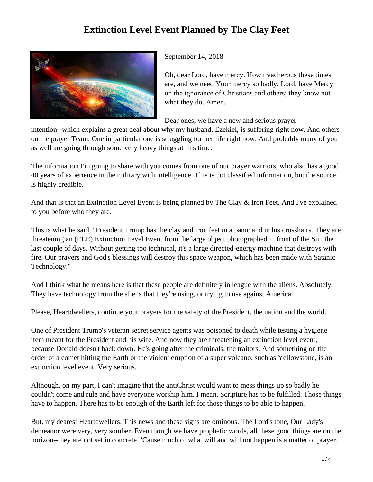

September 14, 2018

Oh, dear Lord, have mercy. How treacherous these times are, and we need Your mercy so badly. Lord, have Mercy on the ignorance of Christians and others; they know not what they do. Amen.

Dear ones, we have a new and serious prayer

intention--which explains a great deal about why my husband, Ezekiel, is suffering right now. And others on the prayer Team. One in particular one is struggling for her life right now. And probably many of you as well are going through some very heavy things at this time.

The information I'm going to share with you comes from one of our prayer warriors, who also has a good 40 years of experience in the military with intelligence. This is not classified information, but the source is highly credible.

And that is that an Extinction Level Event is being planned by The Clay & Iron Feet. And I've explained to you before who they are.

This is what he said, "President Trump has the clay and iron feet in a panic and in his crosshairs. They are threatening an (ELE) Extinction Level Event from the large object photographed in front of the Sun the last couple of days. Without getting too technical, it's a large directed-energy machine that destroys with fire. Our prayers and God's blessings will destroy this space weapon, which has been made with Satanic Technology."

And I think what he means here is that these people are definitely in league with the aliens. Absolutely. They have technology from the aliens that they're using, or trying to use against America.

Please, Heartdwellers, continue your prayers for the safety of the President, the nation and the world.

One of President Trump's veteran secret service agents was poisoned to death while testing a hygiene item meant for the President and his wife. And now they are threatening an extinction level event, because Donald doesn't back down. He's going after the criminals, the traitors. And something on the order of a comet hitting the Earth or the violent eruption of a super volcano, such as Yellowstone, is an extinction level event. Very serious.

Although, on my part, I can't imagine that the antiChrist would want to mess things up so badly he couldn't come and rule and have everyone worship him. I mean, Scripture has to be fulfilled. Those things have to happen. There has to be enough of the Earth left for those things to be able to happen.

But, my dearest Heartdwellers. This news and these signs are ominous. The Lord's tone, Our Lady's demeanor were very, very somber. Even though we have prophetic words, all these good things are on the horizon--they are not set in concrete! 'Cause much of what will and will not happen is a matter of prayer.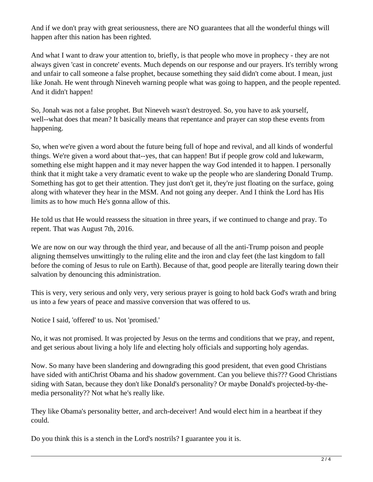And if we don't pray with great seriousness, there are NO guarantees that all the wonderful things will happen after this nation has been righted.

And what I want to draw your attention to, briefly, is that people who move in prophecy - they are not always given 'cast in concrete' events. Much depends on our response and our prayers. It's terribly wrong and unfair to call someone a false prophet, because something they said didn't come about. I mean, just like Jonah. He went through Nineveh warning people what was going to happen, and the people repented. And it didn't happen!

So, Jonah was not a false prophet. But Nineveh wasn't destroyed. So, you have to ask yourself, well--what does that mean? It basically means that repentance and prayer can stop these events from happening.

So, when we're given a word about the future being full of hope and revival, and all kinds of wonderful things. We're given a word about that--yes, that can happen! But if people grow cold and lukewarm, something else might happen and it may never happen the way God intended it to happen. I personally think that it might take a very dramatic event to wake up the people who are slandering Donald Trump. Something has got to get their attention. They just don't get it, they're just floating on the surface, going along with whatever they hear in the MSM. And not going any deeper. And I think the Lord has His limits as to how much He's gonna allow of this.

He told us that He would reassess the situation in three years, if we continued to change and pray. To repent. That was August 7th, 2016.

We are now on our way through the third year, and because of all the anti-Trump poison and people aligning themselves unwittingly to the ruling elite and the iron and clay feet (the last kingdom to fall before the coming of Jesus to rule on Earth). Because of that, good people are literally tearing down their salvation by denouncing this administration.

This is very, very serious and only very, very serious prayer is going to hold back God's wrath and bring us into a few years of peace and massive conversion that was offered to us.

Notice I said, 'offered' to us. Not 'promised.'

No, it was not promised. It was projected by Jesus on the terms and conditions that we pray, and repent, and get serious about living a holy life and electing holy officials and supporting holy agendas.

Now. So many have been slandering and downgrading this good president, that even good Christians have sided with antiChrist Obama and his shadow government. Can you believe this??? Good Christians siding with Satan, because they don't like Donald's personality? Or maybe Donald's projected-by-themedia personality?? Not what he's really like.

They like Obama's personality better, and arch-deceiver! And would elect him in a heartbeat if they could.

Do you think this is a stench in the Lord's nostrils? I guarantee you it is.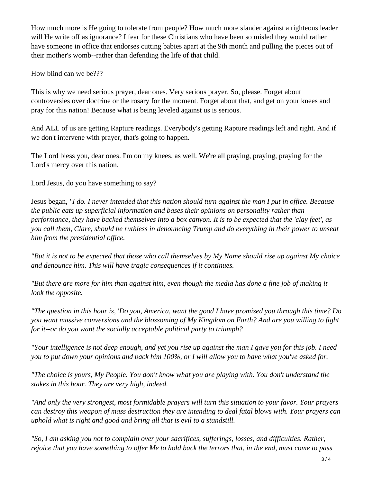How much more is He going to tolerate from people? How much more slander against a righteous leader will He write off as ignorance? I fear for these Christians who have been so misled they would rather have someone in office that endorses cutting babies apart at the 9th month and pulling the pieces out of their mother's womb--rather than defending the life of that child.

How blind can we be???

This is why we need serious prayer, dear ones. Very serious prayer. So, please. Forget about controversies over doctrine or the rosary for the moment. Forget about that, and get on your knees and pray for this nation! Because what is being leveled against us is serious.

And ALL of us are getting Rapture readings. Everybody's getting Rapture readings left and right. And if we don't intervene with prayer, that's going to happen.

The Lord bless you, dear ones. I'm on my knees, as well. We're all praying, praying, praying for the Lord's mercy over this nation.

Lord Jesus, do you have something to say?

Jesus began, *"I do. I never intended that this nation should turn against the man I put in office. Because the public eats up superficial information and bases their opinions on personality rather than performance, they have backed themselves into a box canyon. It is to be expected that the 'clay feet', as you call them, Clare, should be ruthless in denouncing Trump and do everything in their power to unseat him from the presidential office.* 

*"But it is not to be expected that those who call themselves by My Name should rise up against My choice and denounce him. This will have tragic consequences if it continues.* 

*"But there are more for him than against him, even though the media has done a fine job of making it look the opposite.*

*"The question in this hour is, 'Do you, America, want the good I have promised you through this time? Do you want massive conversions and the blossoming of My Kingdom on Earth? And are you willing to fight for it--or do you want the socially acceptable political party to triumph?* 

*"Your intelligence is not deep enough, and yet you rise up against the man I gave you for this job. I need you to put down your opinions and back him 100%, or I will allow you to have what you've asked for.* 

*"The choice is yours, My People. You don't know what you are playing with. You don't understand the stakes in this hour. They are very high, indeed.* 

*"And only the very strongest, most formidable prayers will turn this situation to your favor. Your prayers can destroy this weapon of mass destruction they are intending to deal fatal blows with. Your prayers can uphold what is right and good and bring all that is evil to a standstill.* 

*"So, I am asking you not to complain over your sacrifices, sufferings, losses, and difficulties. Rather, rejoice that you have something to offer Me to hold back the terrors that, in the end, must come to pass*